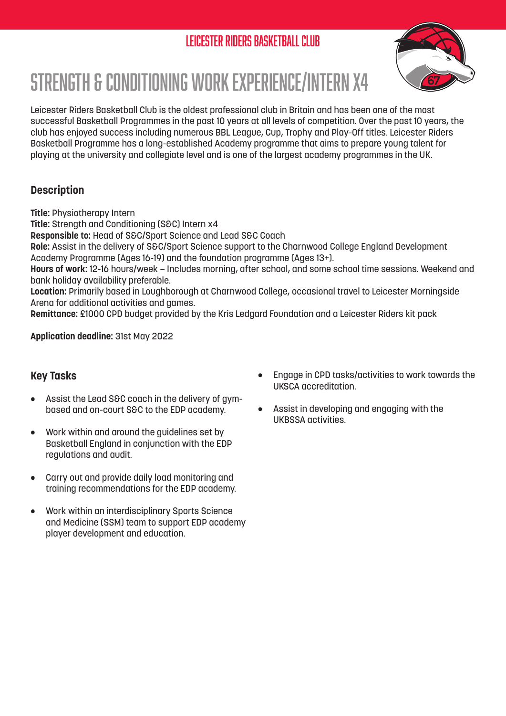# Leicester Riders Basketball Club



# Strength & Conditioning Work Experience/Intern x4

Leicester Riders Basketball Club is the oldest professional club in Britain and has been one of the most successful Basketball Programmes in the past 10 years at all levels of competition. Over the past 10 years, the club has enjoyed success including numerous BBL League, Cup, Trophy and Play-Off titles. Leicester Riders Basketball Programme has a long-established Academy programme that aims to prepare young talent for playing at the university and collegiate level and is one of the largest academy programmes in the UK.

### **Description**

**Title:** Physiotherapy Intern

**Title:** Strength and Conditioning (S&C) Intern x4

**Responsible to:** Head of S&C/Sport Science and Lead S&C Coach

**Role:** Assist in the delivery of S&C/Sport Science support to the Charnwood College England Development Academy Programme (Ages 16-19) and the foundation programme (Ages 13+).

**Hours of work:** 12-16 hours/week – Includes morning, after school, and some school time sessions. Weekend and bank holiday availability preferable.

**Location:** Primarily based in Loughborough at Charnwood College, occasional travel to Leicester Morningside Arena for additional activities and games.

**Remittance:** £1000 CPD budget provided by the Kris Ledgard Foundation and a Leicester Riders kit pack

**Application deadline:** 31st May 2022

#### **Key Tasks**

- Assist the Lead S&C coach in the delivery of gymbased and on-court S&C to the EDP academy.
- Work within and around the guidelines set by Basketball England in conjunction with the EDP regulations and audit.
- Carry out and provide daily load monitoring and training recommendations for the EDP academy.
- Work within an interdisciplinary Sports Science and Medicine (SSM) team to support EDP academy player development and education.
- Engage in CPD tasks/activities to work towards the UKSCA accreditation.
- Assist in developing and engaging with the UKBSSA activities.